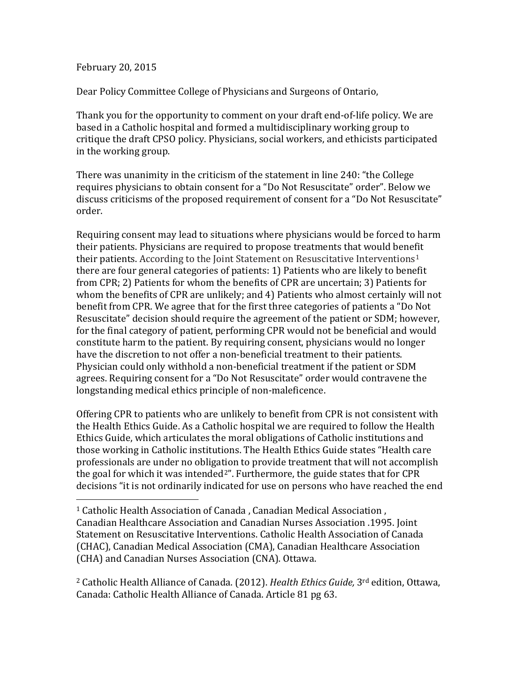## February 20, 2015

Dear Policy Committee College of Physicians and Surgeons of Ontario,

Thank you for the opportunity to comment on your draft end-of-life policy. We are based in a Catholic hospital and formed a multidisciplinary working group to critique the draft CPSO policy. Physicians, social workers, and ethicists participated in the working group.

There was unanimity in the criticism of the statement in line 240: "the College requires physicians to obtain consent for a "Do Not Resuscitate" order". Below we discuss criticisms of the proposed requirement of consent for a "Do Not Resuscitate" order.

Requiring consent may lead to situations where physicians would be forced to harm their patients. Physicians are required to propose treatments that would benefit their patients. According to the Joint Statement on Resuscitative Interventions<sup>[1](#page-0-0)</sup> there are four general categories of patients: 1) Patients who are likely to benefit from CPR; 2) Patients for whom the benefits of CPR are uncertain; 3) Patients for whom the benefits of CPR are unlikely; and 4) Patients who almost certainly will not benefit from CPR. We agree that for the first three categories of patients a "Do Not Resuscitate" decision should require the agreement of the patient or SDM; however, for the final category of patient, performing CPR would not be beneficial and would constitute harm to the patient. By requiring consent, physicians would no longer have the discretion to not offer a non-beneficial treatment to their patients. Physician could only withhold a non-beneficial treatment if the patient or SDM agrees. Requiring consent for a "Do Not Resuscitate" order would contravene the longstanding medical ethics principle of non-maleficence.

Offering CPR to patients who are unlikely to benefit from CPR is not consistent with the Health Ethics Guide. As a Catholic hospital we are required to follow the Health Ethics Guide, which articulates the moral obligations of Catholic institutions and those working in Catholic institutions. The Health Ethics Guide states "Health care professionals are under no obligation to provide treatment that will not accomplish the goal for which it was intended<sup>[2](#page-0-1)"</sup>. Furthermore, the guide states that for CPR decisions "it is not ordinarily indicated for use on persons who have reached the end

<span id="page-0-1"></span><sup>2</sup> Catholic Health Alliance of Canada. (2012). *Health Ethics Guide,* 3rd edition, Ottawa, Canada: Catholic Health Alliance of Canada. Article 81 pg 63.

<span id="page-0-0"></span> <sup>1</sup> Catholic Health Association of Canada , Canadian Medical Association , Canadian Healthcare Association and Canadian Nurses Association .1995. Joint Statement on Resuscitative Interventions. Catholic Health Association of Canada (CHAC), Canadian Medical Association (CMA), Canadian Healthcare Association (CHA) and Canadian Nurses Association (CNA). Ottawa.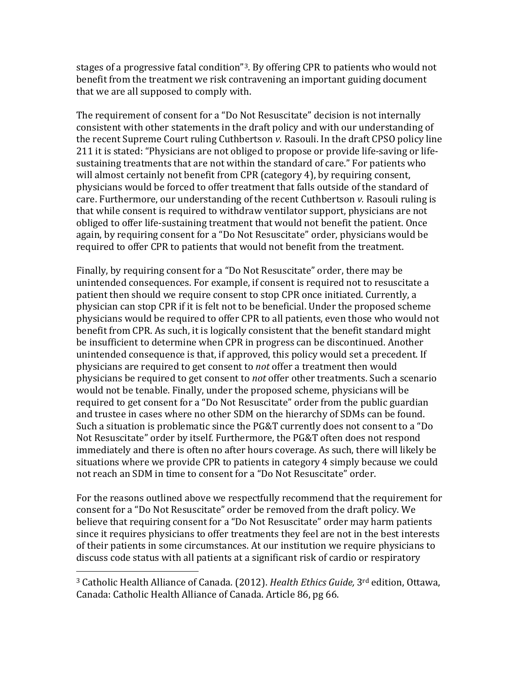stages of a progressive fatal condition"[3](#page-1-0). By offering CPR to patients who would not benefit from the treatment we risk contravening an important guiding document that we are all supposed to comply with.

The requirement of consent for a "Do Not Resuscitate" decision is not internally consistent with other statements in the draft policy and with our understanding of the recent Supreme Court ruling Cuthbertson *v.* Rasouli. In the draft CPSO policy line 211 it is stated: "Physicians are not obliged to propose or provide life-saving or lifesustaining treatments that are not within the standard of care." For patients who will almost certainly not benefit from CPR (category 4), by requiring consent, physicians would be forced to offer treatment that falls outside of the standard of care. Furthermore, our understanding of the recent Cuthbertson *v.* Rasouli ruling is that while consent is required to withdraw ventilator support, physicians are not obliged to offer life-sustaining treatment that would not benefit the patient. Once again, by requiring consent for a "Do Not Resuscitate" order, physicians would be required to offer CPR to patients that would not benefit from the treatment.

Finally, by requiring consent for a "Do Not Resuscitate" order, there may be unintended consequences. For example, if consent is required not to resuscitate a patient then should we require consent to stop CPR once initiated. Currently, a physician can stop CPR if it is felt not to be beneficial. Under the proposed scheme physicians would be required to offer CPR to all patients, even those who would not benefit from CPR. As such, it is logically consistent that the benefit standard might be insufficient to determine when CPR in progress can be discontinued. Another unintended consequence is that, if approved, this policy would set a precedent. If physicians are required to get consent to *not* offer a treatment then would physicians be required to get consent to *not* offer other treatments. Such a scenario would not be tenable. Finally, under the proposed scheme, physicians will be required to get consent for a "Do Not Resuscitate" order from the public guardian and trustee in cases where no other SDM on the hierarchy of SDMs can be found. Such a situation is problematic since the PG&T currently does not consent to a "Do Not Resuscitate" order by itself. Furthermore, the PG&T often does not respond immediately and there is often no after hours coverage. As such, there will likely be situations where we provide CPR to patients in category 4 simply because we could not reach an SDM in time to consent for a "Do Not Resuscitate" order.

For the reasons outlined above we respectfully recommend that the requirement for consent for a "Do Not Resuscitate" order be removed from the draft policy. We believe that requiring consent for a "Do Not Resuscitate" order may harm patients since it requires physicians to offer treatments they feel are not in the best interests of their patients in some circumstances. At our institution we require physicians to discuss code status with all patients at a significant risk of cardio or respiratory

<span id="page-1-0"></span> <sup>3</sup> Catholic Health Alliance of Canada. (2012). *Health Ethics Guide,* 3rd edition, Ottawa, Canada: Catholic Health Alliance of Canada. Article 86, pg 66.